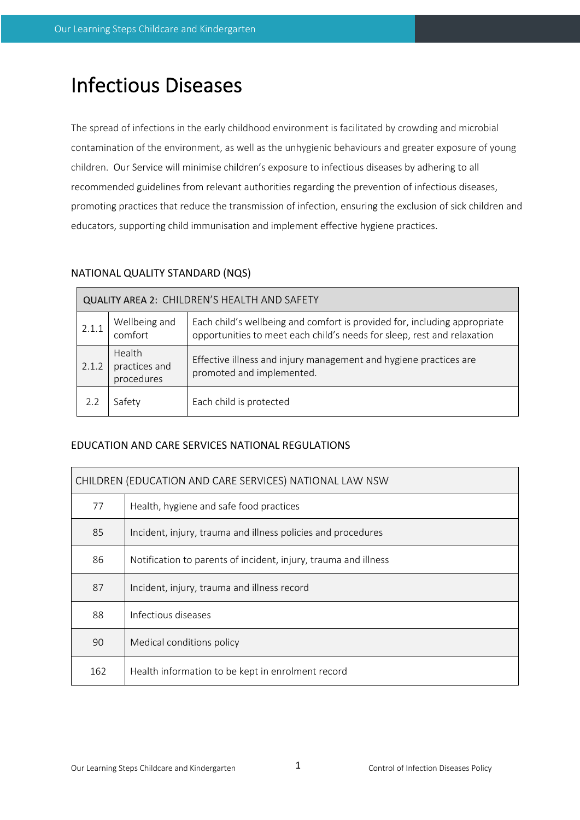# Infectious Diseases

The spread of infections in the early childhood environment is facilitated by crowding and microbial contamination of the environment, as well as the unhygienic behaviours and greater exposure of young children. Our Service will minimise children's exposure to infectious diseases by adhering to all recommended guidelines from relevant authorities regarding the prevention of infectious diseases, promoting practices that reduce the transmission of infection, ensuring the exclusion of sick children and educators, supporting child immunisation and implement effective hygiene practices.

# NATIONAL QUALITY STANDARD (NQS)

| QUALITY AREA 2: CHILDREN'S HEALTH AND SAFETY |                                       |                                                                                                                                                      |  |  |  |  |
|----------------------------------------------|---------------------------------------|------------------------------------------------------------------------------------------------------------------------------------------------------|--|--|--|--|
| 2.1.1                                        | Wellbeing and<br>comfort              | Each child's wellbeing and comfort is provided for, including appropriate<br>opportunities to meet each child's needs for sleep, rest and relaxation |  |  |  |  |
| 2.1.2                                        | Health<br>practices and<br>procedures | Effective illness and injury management and hygiene practices are<br>promoted and implemented.                                                       |  |  |  |  |
|                                              | Safety                                | Each child is protected                                                                                                                              |  |  |  |  |

# EDUCATION AND CARE SERVICES NATIONAL REGULATIONS

| CHILDREN (EDUCATION AND CARE SERVICES) NATIONAL LAW NSW |                                                                 |  |  |  |
|---------------------------------------------------------|-----------------------------------------------------------------|--|--|--|
| 77                                                      | Health, hygiene and safe food practices                         |  |  |  |
| 85                                                      | Incident, injury, trauma and illness policies and procedures    |  |  |  |
| 86                                                      | Notification to parents of incident, injury, trauma and illness |  |  |  |
| 87                                                      | Incident, injury, trauma and illness record                     |  |  |  |
| 88                                                      | Infectious diseases                                             |  |  |  |
| 90                                                      | Medical conditions policy                                       |  |  |  |
| 162                                                     | Health information to be kept in enrolment record               |  |  |  |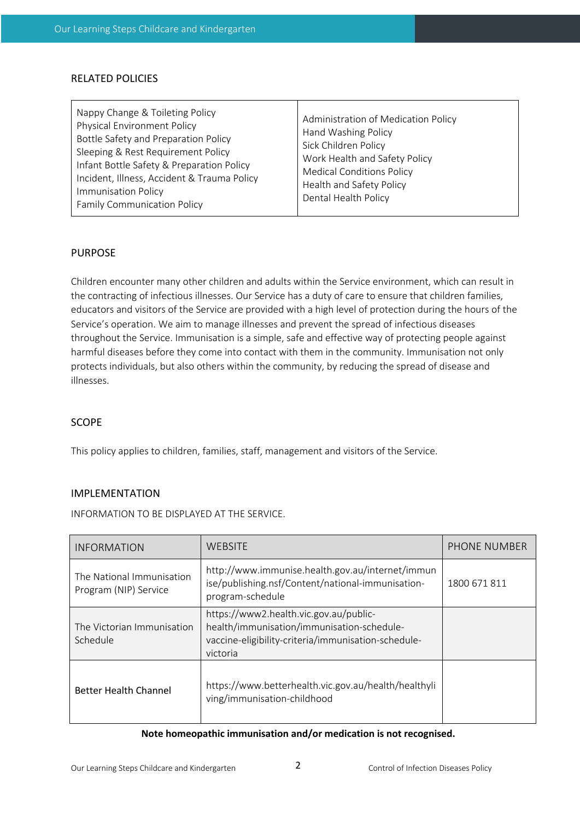## RELATED POLICIES

## PURPOSE

Children encounter many other children and adults within the Service environment, which can result in the contracting of infectious illnesses. Our Service has a duty of care to ensure that children families, educators and visitors of the Service are provided with a high level of protection during the hours of the Service's operation. We aim to manage illnesses and prevent the spread of infectious diseases throughout the Service. Immunisation is a simple, safe and effective way of protecting people against harmful diseases before they come into contact with them in the community. Immunisation not only protects individuals, but also others within the community, by reducing the spread of disease and illnesses.

## SCOPE

This policy applies to children, families, staff, management and visitors of the Service.

## IMPLEMENTATION

INFORMATION TO BE DISPLAYED AT THE SERVICE.

| <b>INFORMATION</b>                                 | WEBSITE                                                                                                                                                 | PHONE NUMBER |
|----------------------------------------------------|---------------------------------------------------------------------------------------------------------------------------------------------------------|--------------|
| The National Immunisation<br>Program (NIP) Service | http://www.immunise.health.gov.au/internet/immun<br>ise/publishing.nsf/Content/national-immunisation-<br>program-schedule                               | 1800 671 811 |
| The Victorian Immunisation<br>Schedule             | https://www2.health.vic.gov.au/public-<br>health/immunisation/immunisation-schedule-<br>vaccine-eligibility-criteria/immunisation-schedule-<br>victoria |              |
| <b>Better Health Channel</b>                       | https://www.betterhealth.vic.gov.au/health/healthyli<br>ving/immunisation-childhood                                                                     |              |

#### **Note homeopathic immunisation and/or medication is not recognised.**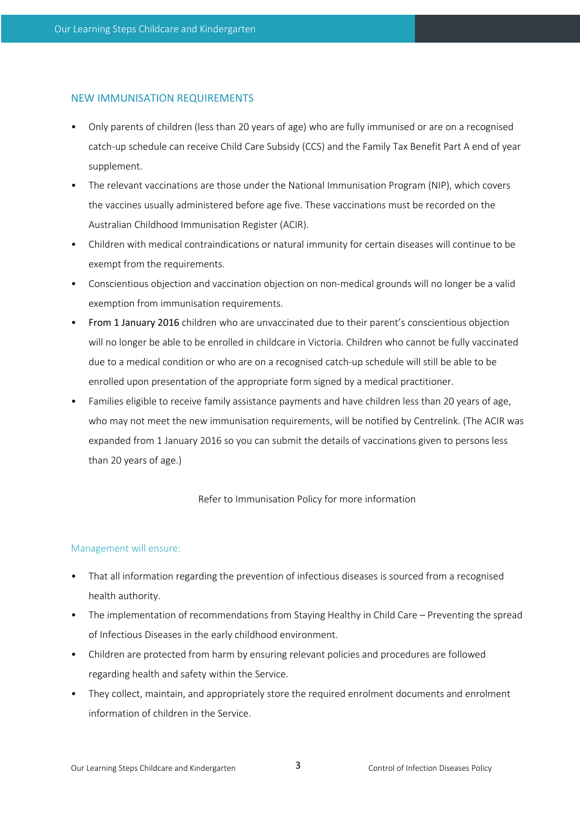## NEW IMMUNISATION REQUIREMENTS

- Only parents of children (less than 20 years of age) who are fully immunised or are on a recognised catch-up schedule can receive Child Care Subsidy (CCS) and the Family Tax Benefit Part A end of year supplement.
- The relevant vaccinations are those under the National Immunisation Program (NIP), which covers the vaccines usually administered before age five. These vaccinations must be recorded on the Australian Childhood Immunisation Register (ACIR).
- Children with medical contraindications or natural immunity for certain diseases will continue to be exempt from the requirements.
- Conscientious objection and vaccination objection on non-medical grounds will no longer be a valid exemption from immunisation requirements.
- From 1 January 2016 children who are unvaccinated due to their parent's conscientious objection will no longer be able to be enrolled in childcare in Victoria. Children who cannot be fully vaccinated due to a medical condition or who are on a recognised catch-up schedule will still be able to be enrolled upon presentation of the appropriate form signed by a medical practitioner.
- Families eligible to receive family assistance payments and have children less than 20 years of age, who may not meet the new immunisation requirements, will be notified by Centrelink. (The ACIR was expanded from 1 January 2016 so you can submit the details of vaccinations given to persons less than 20 years of age.)

#### Refer to Immunisation Policy for more information

#### Management will ensure:

- That all information regarding the prevention of infectious diseases is sourced from a recognised health authority.
- The implementation of recommendations from Staying Healthy in Child Care Preventing the spread of Infectious Diseases in the early childhood environment.
- Children are protected from harm by ensuring relevant policies and procedures are followed regarding health and safety within the Service.
- They collect, maintain, and appropriately store the required enrolment documents and enrolment information of children in the Service.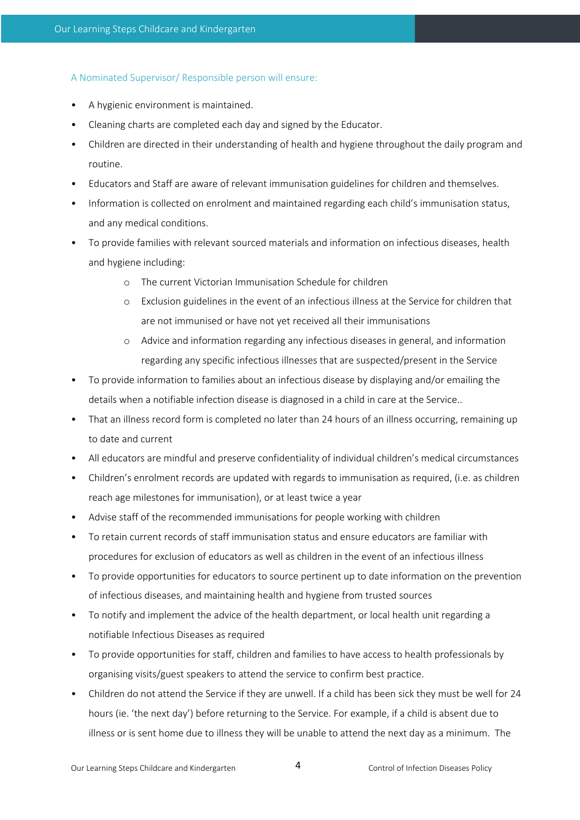#### A Nominated Supervisor/ Responsible person will ensure:

- A hygienic environment is maintained.
- Cleaning charts are completed each day and signed by the Educator.
- Children are directed in their understanding of health and hygiene throughout the daily program and routine.
- Educators and Staff are aware of relevant immunisation guidelines for children and themselves.
- Information is collected on enrolment and maintained regarding each child's immunisation status, and any medical conditions.
- To provide families with relevant sourced materials and information on infectious diseases, health and hygiene including:
	- o The current Victorian Immunisation Schedule for children
	- o Exclusion guidelines in the event of an infectious illness at the Service for children that are not immunised or have not yet received all their immunisations
	- o Advice and information regarding any infectious diseases in general, and information regarding any specific infectious illnesses that are suspected/present in the Service
- To provide information to families about an infectious disease by displaying and/or emailing the details when a notifiable infection disease is diagnosed in a child in care at the Service..
- That an illness record form is completed no later than 24 hours of an illness occurring, remaining up to date and current
- All educators are mindful and preserve confidentiality of individual children's medical circumstances
- Children's enrolment records are updated with regards to immunisation as required, (i.e. as children reach age milestones for immunisation), or at least twice a year
- Advise staff of the recommended immunisations for people working with children
- To retain current records of staff immunisation status and ensure educators are familiar with procedures for exclusion of educators as well as children in the event of an infectious illness
- To provide opportunities for educators to source pertinent up to date information on the prevention of infectious diseases, and maintaining health and hygiene from trusted sources
- To notify and implement the advice of the health department, or local health unit regarding a notifiable Infectious Diseases as required
- To provide opportunities for staff, children and families to have access to health professionals by organising visits/guest speakers to attend the service to confirm best practice.
- Children do not attend the Service if they are unwell. If a child has been sick they must be well for 24 hours (ie. 'the next day') before returning to the Service. For example, if a child is absent due to illness or is sent home due to illness they will be unable to attend the next day as a minimum. The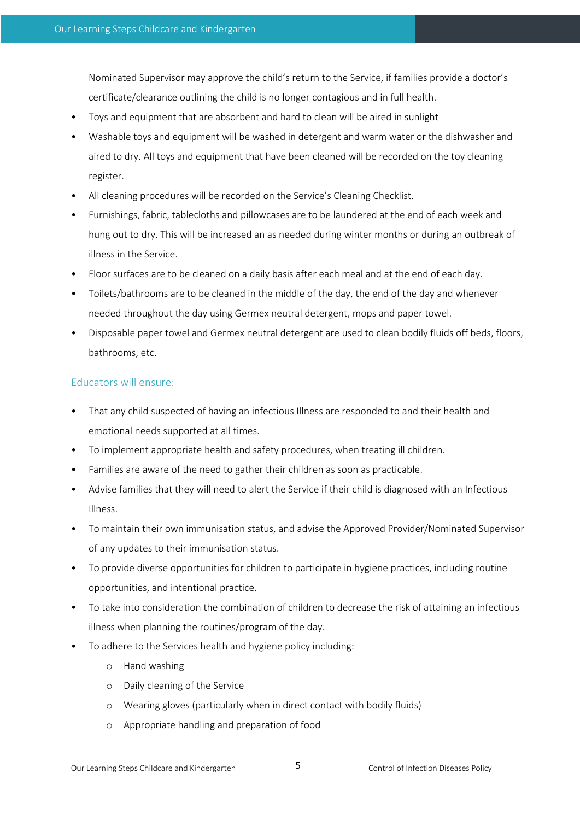Nominated Supervisor may approve the child's return to the Service, if families provide a doctor's certificate/clearance outlining the child is no longer contagious and in full health.

- Toys and equipment that are absorbent and hard to clean will be aired in sunlight
- Washable toys and equipment will be washed in detergent and warm water or the dishwasher and aired to dry. All toys and equipment that have been cleaned will be recorded on the toy cleaning register.
- All cleaning procedures will be recorded on the Service's Cleaning Checklist.
- Furnishings, fabric, tablecloths and pillowcases are to be laundered at the end of each week and hung out to dry. This will be increased an as needed during winter months or during an outbreak of illness in the Service.
- Floor surfaces are to be cleaned on a daily basis after each meal and at the end of each day.
- Toilets/bathrooms are to be cleaned in the middle of the day, the end of the day and whenever needed throughout the day using Germex neutral detergent, mops and paper towel.
- Disposable paper towel and Germex neutral detergent are used to clean bodily fluids off beds, floors, bathrooms, etc.

# Educators will ensure:

- That any child suspected of having an infectious Illness are responded to and their health and emotional needs supported at all times.
- To implement appropriate health and safety procedures, when treating ill children.
- Families are aware of the need to gather their children as soon as practicable.
- Advise families that they will need to alert the Service if their child is diagnosed with an Infectious Illness.
- To maintain their own immunisation status, and advise the Approved Provider/Nominated Supervisor of any updates to their immunisation status.
- To provide diverse opportunities for children to participate in hygiene practices, including routine opportunities, and intentional practice.
- To take into consideration the combination of children to decrease the risk of attaining an infectious illness when planning the routines/program of the day.
- To adhere to the Services health and hygiene policy including:
	- o Hand washing
	- o Daily cleaning of the Service
	- o Wearing gloves (particularly when in direct contact with bodily fluids)
	- o Appropriate handling and preparation of food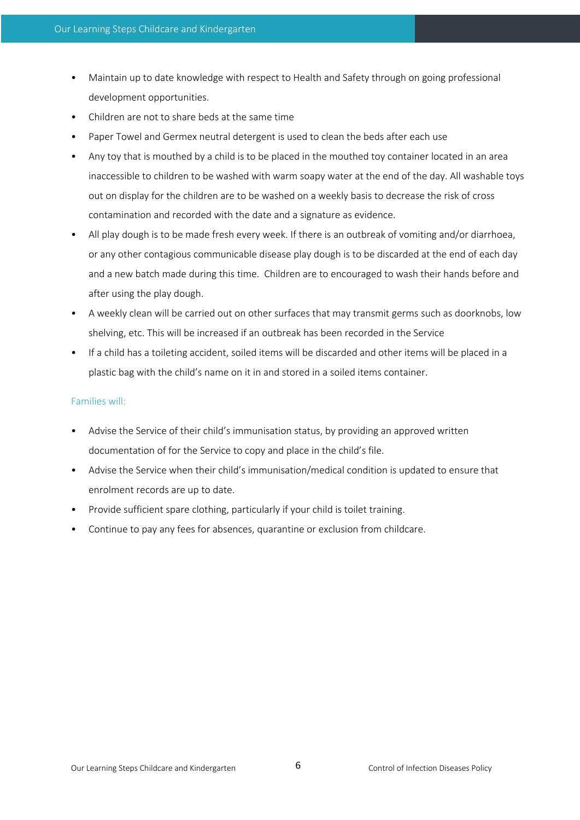- Maintain up to date knowledge with respect to Health and Safety through on going professional development opportunities.
- Children are not to share beds at the same time
- Paper Towel and Germex neutral detergent is used to clean the beds after each use
- Any toy that is mouthed by a child is to be placed in the mouthed toy container located in an area inaccessible to children to be washed with warm soapy water at the end of the day. All washable toys out on display for the children are to be washed on a weekly basis to decrease the risk of cross contamination and recorded with the date and a signature as evidence.
- All play dough is to be made fresh every week. If there is an outbreak of vomiting and/or diarrhoea, or any other contagious communicable disease play dough is to be discarded at the end of each day and a new batch made during this time. Children are to encouraged to wash their hands before and after using the play dough.
- A weekly clean will be carried out on other surfaces that may transmit germs such as doorknobs, low shelving, etc. This will be increased if an outbreak has been recorded in the Service
- If a child has a toileting accident, soiled items will be discarded and other items will be placed in a plastic bag with the child's name on it in and stored in a soiled items container.

#### Families will:

- Advise the Service of their child's immunisation status, by providing an approved written documentation of for the Service to copy and place in the child's file.
- Advise the Service when their child's immunisation/medical condition is updated to ensure that enrolment records are up to date.
- Provide sufficient spare clothing, particularly if your child is toilet training.
- Continue to pay any fees for absences, quarantine or exclusion from childcare.